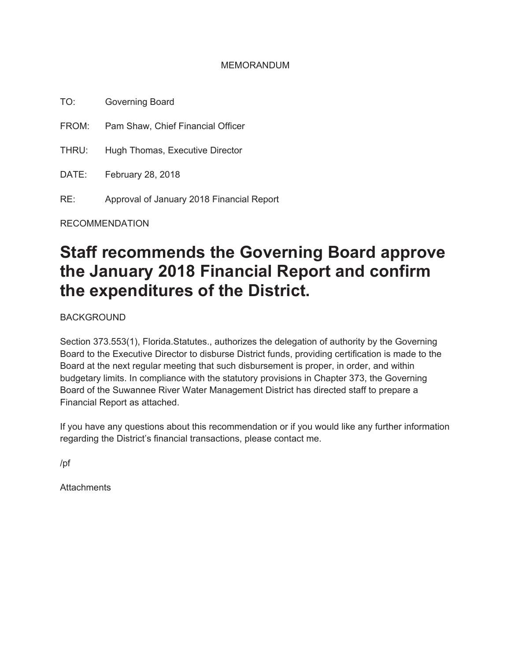#### MEMORANDUM

TO: Governing Board

FROM: Pam Shaw, Chief Financial Officer

THRU: Hugh Thomas, Executive Director

DATE: February 28, 2018

RE: Approval of January 2018 Financial Report

RECOMMENDATION

# **Staff recommends the Governing Board approve the January 2018 Financial Report and confirm the expenditures of the District.**

BACKGROUND

Section 373.553(1), Florida.Statutes., authorizes the delegation of authority by the Governing Board to the Executive Director to disburse District funds, providing certification is made to the Board at the next regular meeting that such disbursement is proper, in order, and within budgetary limits. In compliance with the statutory provisions in Chapter 373, the Governing Board of the Suwannee River Water Management District has directed staff to prepare a Financial Report as attached.

If you have any questions about this recommendation or if you would like any further information regarding the District's financial transactions, please contact me.

/pf

**Attachments**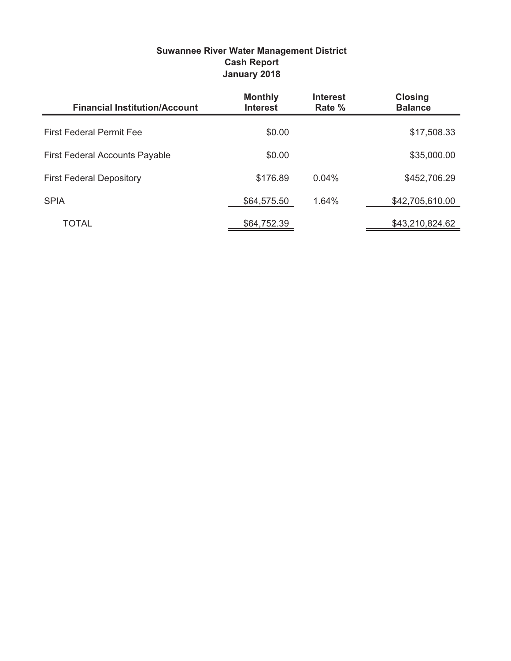| <b>Suwannee River Water Management District</b> |
|-------------------------------------------------|
| <b>Cash Report</b>                              |
| January 2018                                    |

| <b>Financial Institution/Account</b>  | <b>Monthly</b><br><b>Interest</b> | <b>Interest</b><br>Rate % | <b>Closing</b><br><b>Balance</b> |
|---------------------------------------|-----------------------------------|---------------------------|----------------------------------|
| <b>First Federal Permit Fee</b>       | \$0.00                            |                           | \$17,508.33                      |
| <b>First Federal Accounts Payable</b> | \$0.00                            |                           | \$35,000.00                      |
| <b>First Federal Depository</b>       | \$176.89                          | 0.04%                     | \$452,706.29                     |
| <b>SPIA</b>                           | \$64,575.50                       | 1.64%                     | \$42,705,610.00                  |
| TOTAL                                 | \$64,752.39                       |                           | \$43,210,824.62                  |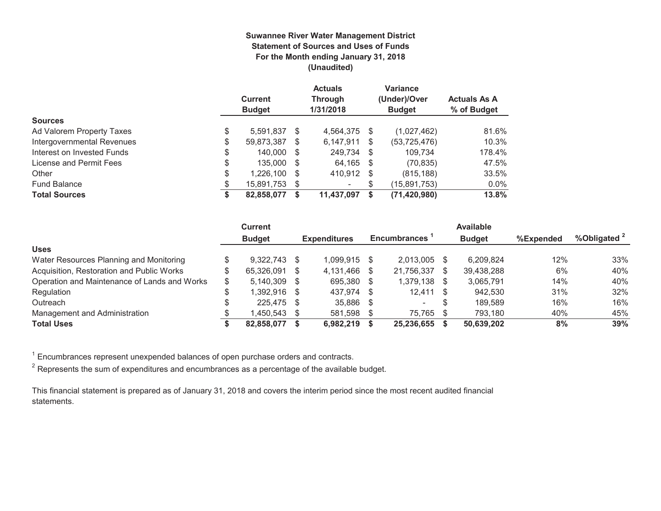#### **Suwannee River Water Management District Statement of Sources and Uses of Funds For the Month ending January 31, 2018 (Unaudited)**

|                            |    | <b>Current</b><br><b>Budget</b> |          | <b>Actuals</b><br><b>Through</b><br>1/31/2018 |      | <b>Variance</b><br>(Under)/Over<br><b>Budget</b> | <b>Actuals As A</b><br>% of Budget |
|----------------------------|----|---------------------------------|----------|-----------------------------------------------|------|--------------------------------------------------|------------------------------------|
| <b>Sources</b>             |    |                                 |          |                                               |      |                                                  |                                    |
| Ad Valorem Property Taxes  | \$ | 5.591.837                       | -S       | 4,564,375                                     | \$   | (1,027,462)                                      | 81.6%                              |
| Intergovernmental Revenues | \$ | 59,873,387                      | S.       | 6,147,911                                     | \$   | (53, 725, 476)                                   | 10.3%                              |
| Interest on Invested Funds | \$ | 140.000                         | - \$     | 249.734                                       | - \$ | 109.734                                          | 178.4%                             |
| License and Permit Fees    | \$ | 135,000                         | <b>S</b> | 64,165                                        | - \$ | (70, 835)                                        | 47.5%                              |
| Other                      | \$ | 1.226.100                       | - \$     | 410,912                                       | -S   | (815, 188)                                       | 33.5%                              |
| <b>Fund Balance</b>        | \$ | 15,891,753 \$                   |          | -                                             |      | (15,891,753)                                     | $0.0\%$                            |
| <b>Total Sources</b>       | S  | 82,858,077                      | S        | 11,437,097                                    |      | (71, 420, 980)                                   | 13.8%                              |

|                                              |    | <b>Current</b> |    |                     |      |                          | <b>Available</b> |           |                         |
|----------------------------------------------|----|----------------|----|---------------------|------|--------------------------|------------------|-----------|-------------------------|
|                                              |    | <b>Budget</b>  |    | <b>Expenditures</b> |      | <b>Encumbrances</b>      | <b>Budget</b>    | %Expended | %Obligated <sup>2</sup> |
| <b>Uses</b>                                  |    |                |    |                     |      |                          |                  |           |                         |
| Water Resources Planning and Monitoring      |    | 9.322.743      | -S | 1.099.915 \$        |      | $2.013.005$ \$           | 6.209.824        | 12%       | 33%                     |
| Acquisition, Restoration and Public Works    |    | 65.326.091     | \$ | 4.131.466 \$        |      | 21.756.337 \$            | 39,438,288       | 6%        | 40%                     |
| Operation and Maintenance of Lands and Works | \$ | 5.140.309      | -S | 695,380 \$          |      | 1,379,138 \$             | 3,065,791        | 14%       | 40%                     |
| Regulation                                   | \$ | 1,392,916      | \$ | 437,974 \$          |      | $12,411$ \$              | 942.530          | 31%       | 32%                     |
| Outreach                                     | Φ  | 225.475        | -S | 35,886 \$           |      | $\overline{\phantom{0}}$ | 189.589          | 16%       | 16%                     |
| Management and Administration                |    | 1,450,543      |    | 581,598             | - \$ | 75,765 \$                | 793.180          | 40%       | 45%                     |
| <b>Total Uses</b>                            |    | 82.858.077     |    | 6.982.219           |      | 25.236.655               | 50.639.202       | 8%        | 39%                     |

 $1$  Encumbrances represent unexpended balances of open purchase orders and contracts.

 $^{\rm 2}$  Represents the sum of expenditures and encumbrances as a percentage of the available budget.

This financial statement is prepared as of January 31, 2018 and covers the interim period since the most recent audited financial statements.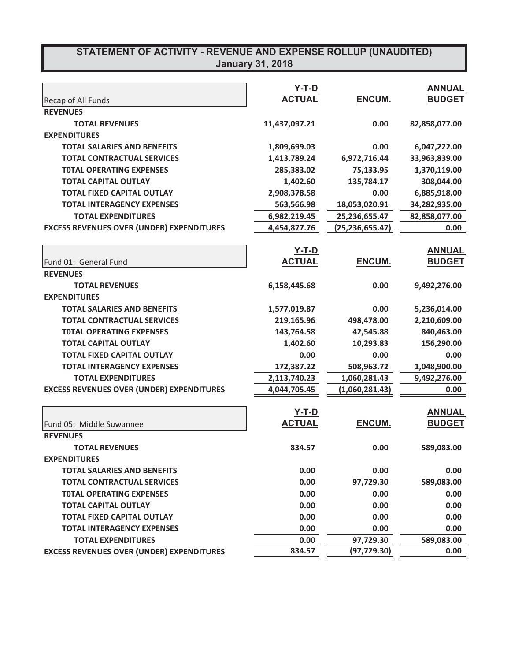## **67ATEMENT OF ACTIVITY - REVENUE AND EXPENSE ROLLUP (UNAUDITED) January 31, 2018**

|                                                  | $Y-T-D$       |                   | <b>ANNUAL</b> |
|--------------------------------------------------|---------------|-------------------|---------------|
| Recap of All Funds                               | <b>ACTUAL</b> | ENCUM.            | <b>BUDGET</b> |
| <b>REVENUES</b>                                  |               |                   |               |
| <b>TOTAL REVENUES</b>                            | 11,437,097.21 | 0.00              | 82,858,077.00 |
| <b>EXPENDITURES</b>                              |               |                   |               |
| <b>TOTAL SALARIES AND BENEFITS</b>               | 1,809,699.03  | 0.00              | 6,047,222.00  |
| <b>TOTAL CONTRACTUAL SERVICES</b>                | 1,413,789.24  | 6,972,716.44      | 33,963,839.00 |
| <b>TOTAL OPERATING EXPENSES</b>                  | 285,383.02    | 75,133.95         | 1,370,119.00  |
| <b>TOTAL CAPITAL OUTLAY</b>                      | 1,402.60      | 135,784.17        | 308,044.00    |
| <b>TOTAL FIXED CAPITAL OUTLAY</b>                | 2,908,378.58  | 0.00              | 6,885,918.00  |
| <b>TOTAL INTERAGENCY EXPENSES</b>                | 563,566.98    | 18,053,020.91     | 34,282,935.00 |
| <b>TOTAL EXPENDITURES</b>                        | 6,982,219.45  | 25,236,655.47     | 82,858,077.00 |
| <b>EXCESS REVENUES OVER (UNDER) EXPENDITURES</b> | 4,454,877.76  | (25, 236, 655.47) | 0.00          |
|                                                  |               |                   |               |
|                                                  | <u>Y-T-D</u>  |                   | <b>ANNUAL</b> |
| Fund 01: General Fund                            | <b>ACTUAL</b> | <b>ENCUM.</b>     | <b>BUDGET</b> |
| <b>REVENUES</b>                                  |               |                   |               |
| <b>TOTAL REVENUES</b>                            | 6,158,445.68  | 0.00              | 9,492,276.00  |
| <b>EXPENDITURES</b>                              |               |                   |               |
| <b>TOTAL SALARIES AND BENEFITS</b>               | 1,577,019.87  | 0.00              | 5,236,014.00  |
| <b>TOTAL CONTRACTUAL SERVICES</b>                | 219,165.96    | 498,478.00        | 2,210,609.00  |
| <b>TOTAL OPERATING EXPENSES</b>                  | 143,764.58    | 42,545.88         | 840,463.00    |
| <b>TOTAL CAPITAL OUTLAY</b>                      | 1,402.60      | 10,293.83         | 156,290.00    |
| <b>TOTAL FIXED CAPITAL OUTLAY</b>                | 0.00          | 0.00              | 0.00          |
| <b>TOTAL INTERAGENCY EXPENSES</b>                | 172,387.22    | 508,963.72        | 1,048,900.00  |
| <b>TOTAL EXPENDITURES</b>                        | 2,113,740.23  | 1,060,281.43      | 9,492,276.00  |
| <b>EXCESS REVENUES OVER (UNDER) EXPENDITURES</b> | 4,044,705.45  | (1,060,281.43)    | 0.00          |
|                                                  |               |                   |               |
|                                                  | <b>Y-T-D</b>  |                   | <b>ANNUAL</b> |
| Fund 05: Middle Suwannee                         | <b>ACTUAL</b> | ENCUM.            | <b>BUDGET</b> |
| <b>REVENUES</b>                                  |               |                   |               |
| <b>TOTAL REVENUES</b>                            | 834.57        | 0.00              | 589,083.00    |
| <b>EXPENDITURES</b>                              |               |                   |               |
| <b>TOTAL SALARIES AND BENEFITS</b>               | 0.00          | 0.00              | 0.00          |
| <b>TOTAL CONTRACTUAL SERVICES</b>                | 0.00          | 97,729.30         | 589,083.00    |
| <b>TOTAL OPERATING EXPENSES</b>                  | 0.00          | 0.00              | 0.00          |
| <b>TOTAL CAPITAL OUTLAY</b>                      | 0.00          | 0.00              | 0.00          |
| <b>TOTAL FIXED CAPITAL OUTLAY</b>                | 0.00          | 0.00              | 0.00          |
| <b>TOTAL INTERAGENCY EXPENSES</b>                | 0.00          | 0.00              | 0.00          |
| <b>TOTAL EXPENDITURES</b>                        | 0.00          | 97,729.30         | 589,083.00    |
| <b>EXCESS REVENUES OVER (UNDER) EXPENDITURES</b> | 834.57        | (97, 729.30)      | 0.00          |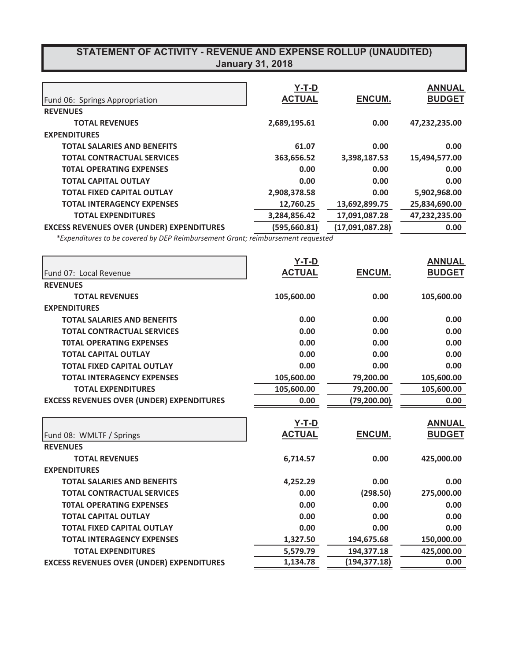## **67ATEMENT OF ACTIVITY - REVENUE AND EXPENSE ROLLUP (UNAUDITED) January 31, 2018**

|                                                  | $Y-T-D$       |                 | <b>ANNUAL</b> |
|--------------------------------------------------|---------------|-----------------|---------------|
| Fund 06: Springs Appropriation                   | <b>ACTUAL</b> | <b>ENCUM.</b>   | <b>BUDGET</b> |
| <b>REVENUES</b>                                  |               |                 |               |
| <b>TOTAL REVENUES</b>                            | 2,689,195.61  | 0.00            | 47,232,235.00 |
| <b>EXPENDITURES</b>                              |               |                 |               |
| <b>TOTAL SALARIES AND BENEFITS</b>               | 61.07         | 0.00            | 0.00          |
| <b>TOTAL CONTRACTUAL SERVICES</b>                | 363,656.52    | 3,398,187.53    | 15,494,577.00 |
| <b>TOTAL OPERATING EXPENSES</b>                  | 0.00          | 0.00            | 0.00          |
| <b>TOTAL CAPITAL OUTLAY</b>                      | 0.00          | 0.00            | 0.00          |
| <b>TOTAL FIXED CAPITAL OUTLAY</b>                | 2,908,378.58  | 0.00            | 5,902,968.00  |
| <b>TOTAL INTERAGENCY EXPENSES</b>                | 12,760.25     | 13,692,899.75   | 25,834,690.00 |
| <b>TOTAL EXPENDITURES</b>                        | 3,284,856.42  | 17,091,087.28   | 47,232,235.00 |
| <b>EXCESS REVENUES OVER (UNDER) EXPENDITURES</b> | (595, 660.81) | (17,091,087.28) | 0.00          |

*\** Expenditures to be covered by DEP Reimbursement Grant; reimbursement requested

|                                                  | $Y-T-D$       |               | <b>ANNUAL</b> |
|--------------------------------------------------|---------------|---------------|---------------|
| Fund 07: Local Revenue                           | <b>ACTUAL</b> | ENCUM.        | <b>BUDGET</b> |
| <b>REVENUES</b>                                  |               |               |               |
| <b>TOTAL REVENUES</b>                            | 105,600.00    | 0.00          | 105,600.00    |
| <b>EXPENDITURES</b>                              |               |               |               |
| <b>TOTAL SALARIES AND BENEFITS</b>               | 0.00          | 0.00          | 0.00          |
| <b>TOTAL CONTRACTUAL SERVICES</b>                | 0.00          | 0.00          | 0.00          |
| <b>TOTAL OPERATING EXPENSES</b>                  | 0.00          | 0.00          | 0.00          |
| <b>TOTAL CAPITAL OUTLAY</b>                      | 0.00          | 0.00          | 0.00          |
| <b>TOTAL FIXED CAPITAL OUTLAY</b>                | 0.00          | 0.00          | 0.00          |
| <b>TOTAL INTERAGENCY EXPENSES</b>                | 105,600.00    | 79,200.00     | 105,600.00    |
| <b>TOTAL EXPENDITURES</b>                        | 105,600.00    | 79,200.00     | 105,600.00    |
| <b>EXCESS REVENUES OVER (UNDER) EXPENDITURES</b> | 0.00          | (79, 200.00)  | 0.00          |
|                                                  | <u>Y-T-D</u>  |               | <b>ANNUAL</b> |
| Fund 08: WMLTF / Springs                         | <b>ACTUAL</b> | ENCUM.        | <b>BUDGET</b> |
| <b>REVENUES</b>                                  |               |               |               |
| <b>TOTAL REVENUES</b>                            | 6,714.57      | 0.00          | 425,000.00    |
| <b>EXPENDITURES</b>                              |               |               |               |
| <b>TOTAL SALARIES AND BENEFITS</b>               | 4,252.29      | 0.00          | 0.00          |
| <b>TOTAL CONTRACTUAL SERVICES</b>                | 0.00          | (298.50)      | 275,000.00    |
| <b>TOTAL OPERATING EXPENSES</b>                  | 0.00          | 0.00          | 0.00          |
| <b>TOTAL CAPITAL OUTLAY</b>                      | 0.00          | 0.00          | 0.00          |
| <b>TOTAL FIXED CAPITAL OUTLAY</b>                | 0.00          | 0.00          | 0.00          |
| <b>TOTAL INTERAGENCY EXPENSES</b>                | 1,327.50      | 194,675.68    | 150,000.00    |
| <b>TOTAL EXPENDITURES</b>                        | 5,579.79      | 194,377.18    | 425,000.00    |
| <b>EXCESS REVENUES OVER (UNDER) EXPENDITURES</b> | 1,134.78      | (194, 377.18) | 0.00          |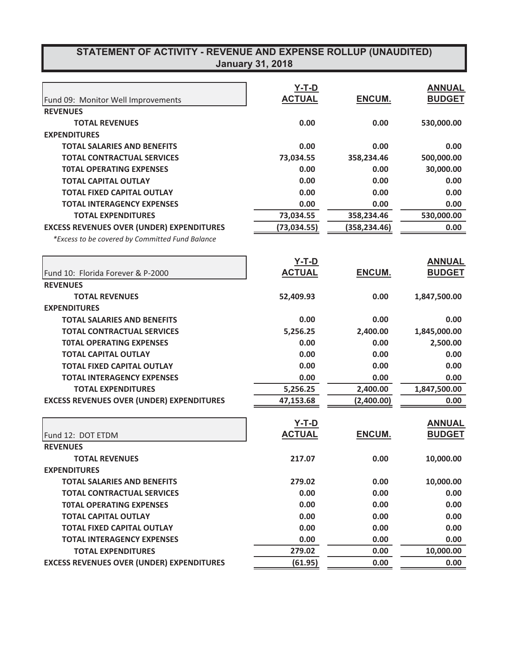# **67 STATEMENT OF ACTIVITY - REVENUE AND EXPENSE ROLLUP (UNAUDITED)**

| January 31, 2018 |
|------------------|
|                  |
|                  |

|                                                  | <b>Y-T-D</b>  |               | <b>ANNUAL</b> |
|--------------------------------------------------|---------------|---------------|---------------|
| Fund 09: Monitor Well Improvements               | <b>ACTUAL</b> | <b>ENCUM.</b> | <b>BUDGET</b> |
| <b>REVENUES</b>                                  |               |               |               |
| <b>TOTAL REVENUES</b>                            | 0.00          | 0.00          | 530,000.00    |
| <b>EXPENDITURES</b>                              |               |               |               |
| <b>TOTAL SALARIES AND BENEFITS</b>               | 0.00          | 0.00          | 0.00          |
| <b>TOTAL CONTRACTUAL SERVICES</b>                | 73,034.55     | 358,234.46    | 500,000.00    |
| <b>TOTAL OPERATING EXPENSES</b>                  | 0.00          | 0.00          | 30,000.00     |
| <b>TOTAL CAPITAL OUTLAY</b>                      | 0.00          | 0.00          | 0.00          |
| <b>TOTAL FIXED CAPITAL OUTLAY</b>                | 0.00          | 0.00          | 0.00          |
| <b>TOTAL INTERAGENCY EXPENSES</b>                | 0.00          | 0.00          | 0.00          |
| <b>TOTAL EXPENDITURES</b>                        | 73,034.55     | 358,234.46    | 530,000.00    |
| <b>EXCESS REVENUES OVER (UNDER) EXPENDITURES</b> | (73, 034.55)  | (358, 234.46) | 0.00          |
| *Excess to be covered by Committed Fund Balance  |               |               |               |
|                                                  | $Y-T-D$       |               | <b>ANNUAL</b> |
| Fund 10: Florida Forever & P-2000                | <b>ACTUAL</b> | ENCUM.        | <b>BUDGET</b> |
| <b>REVENUES</b>                                  |               |               |               |
| <b>TOTAL REVENUES</b>                            | 52,409.93     | 0.00          | 1,847,500.00  |
| <b>EXPENDITURES</b>                              |               |               |               |
| <b>TOTAL SALARIES AND BENEFITS</b>               | 0.00          | 0.00          | 0.00          |
| <b>TOTAL CONTRACTUAL SERVICES</b>                | 5,256.25      | 2,400.00      | 1,845,000.00  |
| <b>TOTAL OPERATING EXPENSES</b>                  | 0.00          | 0.00          | 2,500.00      |
| <b>TOTAL CAPITAL OUTLAY</b>                      | 0.00          | 0.00          | 0.00          |
| <b>TOTAL FIXED CAPITAL OUTLAY</b>                | 0.00          | 0.00          | 0.00          |
| <b>TOTAL INTERAGENCY EXPENSES</b>                | 0.00          | 0.00          | 0.00          |
| <b>TOTAL EXPENDITURES</b>                        | 5,256.25      | 2,400.00      | 1,847,500.00  |
| <b>EXCESS REVENUES OVER (UNDER) EXPENDITURES</b> | 47,153.68     | (2,400.00)    | 0.00          |
|                                                  | $Y-T-D$       |               | <b>ANNUAL</b> |
| Fund 12: DOT ETDM                                | <b>ACTUAL</b> | ENCUM.        | <b>BUDGET</b> |
| <b>REVENUES</b>                                  |               |               |               |
| <b>TOTAL REVENUES</b>                            | 217.07        | 0.00          | 10,000.00     |
| <b>EXPENDITURES</b>                              |               |               |               |
| <b>TOTAL SALARIES AND BENEFITS</b>               | 279.02        | 0.00          | 10,000.00     |
| <b>TOTAL CONTRACTUAL SERVICES</b>                | 0.00          | 0.00          | 0.00          |
| <b>TOTAL OPERATING EXPENSES</b>                  | 0.00          | 0.00          | 0.00          |
| <b>TOTAL CAPITAL OUTLAY</b>                      | 0.00          | 0.00          | 0.00          |
| <b>TOTAL FIXED CAPITAL OUTLAY</b>                | 0.00          | 0.00          | 0.00          |
| <b>TOTAL INTERAGENCY EXPENSES</b>                | 0.00          | 0.00          | 0.00          |
| <b>TOTAL EXPENDITURES</b>                        | 279.02        | 0.00          | 10,000.00     |
| <b>EXCESS REVENUES OVER (UNDER) EXPENDITURES</b> | (61.95)       | 0.00          | 0.00          |
|                                                  |               |               |               |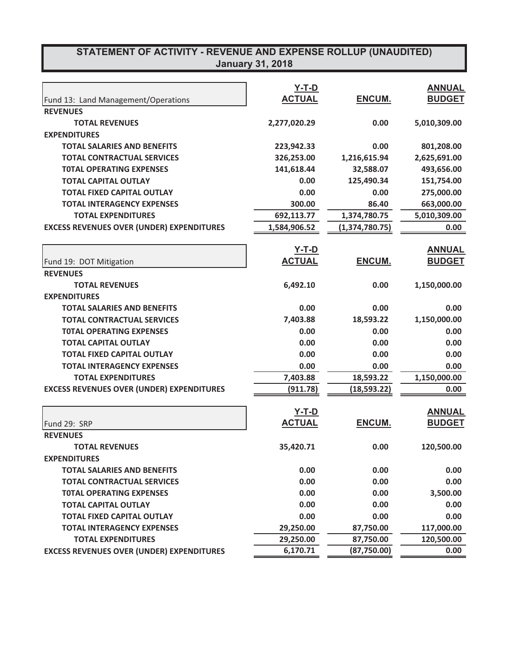## **67ATEMENT OF ACTIVITY - REVENUE AND EXPENSE ROLLUP (UNAUDITED) January 31, 2018**

|                                                  | <b>Y-T-D</b>  |                    | <b>ANNUAL</b> |
|--------------------------------------------------|---------------|--------------------|---------------|
| Fund 13: Land Management/Operations              | <b>ACTUAL</b> | ENCUM.             | <b>BUDGET</b> |
| <b>REVENUES</b>                                  |               |                    |               |
| <b>TOTAL REVENUES</b>                            | 2,277,020.29  | 0.00               | 5,010,309.00  |
| <b>EXPENDITURES</b>                              |               |                    |               |
| <b>TOTAL SALARIES AND BENEFITS</b>               | 223,942.33    | 0.00               | 801,208.00    |
| <b>TOTAL CONTRACTUAL SERVICES</b>                | 326,253.00    | 1,216,615.94       | 2,625,691.00  |
| <b>TOTAL OPERATING EXPENSES</b>                  | 141,618.44    | 32,588.07          | 493,656.00    |
| <b>TOTAL CAPITAL OUTLAY</b>                      | 0.00          | 125,490.34         | 151,754.00    |
| <b>TOTAL FIXED CAPITAL OUTLAY</b>                | 0.00          | 0.00               | 275,000.00    |
| <b>TOTAL INTERAGENCY EXPENSES</b>                | 300.00        | 86.40              | 663,000.00    |
| <b>TOTAL EXPENDITURES</b>                        | 692,113.77    | 1,374,780.75       | 5,010,309.00  |
| <b>EXCESS REVENUES OVER (UNDER) EXPENDITURES</b> | 1,584,906.52  | (1,374,780.75)     | 0.00          |
|                                                  | <u>Y-T-D</u>  |                    | <b>ANNUAL</b> |
| Fund 19: DOT Mitigation                          | <b>ACTUAL</b> | ENCUM.             | <b>BUDGET</b> |
| <b>REVENUES</b>                                  |               |                    |               |
| <b>TOTAL REVENUES</b>                            | 6,492.10      | 0.00               | 1,150,000.00  |
| <b>EXPENDITURES</b>                              |               |                    |               |
| <b>TOTAL SALARIES AND BENEFITS</b>               | 0.00          | 0.00               | 0.00          |
| <b>TOTAL CONTRACTUAL SERVICES</b>                | 7,403.88      | 18,593.22          | 1,150,000.00  |
| <b>TOTAL OPERATING EXPENSES</b>                  | 0.00          | 0.00               | 0.00          |
| <b>TOTAL CAPITAL OUTLAY</b>                      | 0.00          | 0.00               | 0.00          |
| <b>TOTAL FIXED CAPITAL OUTLAY</b>                | 0.00          | 0.00               | 0.00          |
| <b>TOTAL INTERAGENCY EXPENSES</b>                | 0.00          | 0.00               | 0.00          |
| <b>TOTAL EXPENDITURES</b>                        | 7,403.88      | 18,593.22          | 1,150,000.00  |
| <b>EXCESS REVENUES OVER (UNDER) EXPENDITURES</b> | (911.78)      | <u>(18,593.22)</u> | 0.00          |
|                                                  |               |                    |               |
|                                                  | <b>Y-T-D</b>  |                    | <b>ANNUAL</b> |
| Fund 29: SRP                                     | <b>ACTUAL</b> | ENCUM.             | <b>BUDGET</b> |
| <b>REVENUES</b>                                  |               |                    |               |
| <b>TOTAL REVENUES</b>                            | 35,420.71     | 0.00               | 120,500.00    |
| <b>EXPENDITURES</b>                              |               |                    |               |
| <b>TOTAL SALARIES AND BENEFITS</b>               | 0.00          | 0.00               | 0.00          |
| <b>TOTAL CONTRACTUAL SERVICES</b>                | 0.00          | 0.00               | 0.00          |
| <b>TOTAL OPERATING EXPENSES</b>                  | 0.00          | 0.00               | 3,500.00      |
| <b>TOTAL CAPITAL OUTLAY</b>                      | 0.00          | 0.00               | 0.00          |
| <b>TOTAL FIXED CAPITAL OUTLAY</b>                | 0.00          | 0.00               | 0.00          |
| <b>TOTAL INTERAGENCY EXPENSES</b>                | 29,250.00     | 87,750.00          | 117,000.00    |
| <b>TOTAL EXPENDITURES</b>                        | 29,250.00     | 87,750.00          | 120,500.00    |
| <b>EXCESS REVENUES OVER (UNDER) EXPENDITURES</b> | 6,170.71      | (87, 750.00)       | 0.00          |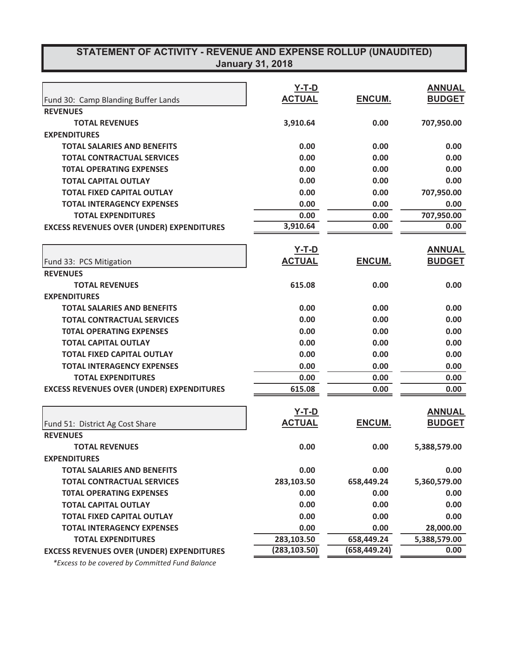| STATEMENT OF ACTIVITY - REVENUE AND EXPENSE ROLLUP (UNAUDITED)<br><b>January 31, 2018</b> |               |               |               |  |  |
|-------------------------------------------------------------------------------------------|---------------|---------------|---------------|--|--|
|                                                                                           |               |               |               |  |  |
|                                                                                           | $Y-T-D$       |               | <b>ANNUAL</b> |  |  |
| Fund 30: Camp Blanding Buffer Lands                                                       | <b>ACTUAL</b> | <b>ENCUM.</b> | <b>BUDGET</b> |  |  |
| <b>REVENUES</b>                                                                           |               |               |               |  |  |
| <b>TOTAL REVENUES</b>                                                                     | 3,910.64      | 0.00          | 707,950.00    |  |  |
| <b>EXPENDITURES</b>                                                                       |               |               |               |  |  |
| <b>TOTAL SALARIES AND BENEFITS</b>                                                        | 0.00          | 0.00          | 0.00          |  |  |
| <b>TOTAL CONTRACTUAL SERVICES</b>                                                         | 0.00          | 0.00          | 0.00          |  |  |
| <b>TOTAL OPERATING EXPENSES</b>                                                           | 0.00          | 0.00          | 0.00          |  |  |
| <b>TOTAL CAPITAL OUTLAY</b>                                                               | 0.00          | 0.00          | 0.00          |  |  |
| <b>TOTAL FIXED CAPITAL OUTLAY</b>                                                         | 0.00          | 0.00          | 707,950.00    |  |  |
| <b>TOTAL INTERAGENCY EXPENSES</b>                                                         | 0.00          | 0.00          | 0.00          |  |  |
| <b>TOTAL EXPENDITURES</b>                                                                 | 0.00          | 0.00          | 707,950.00    |  |  |
| <b>EXCESS REVENUES OVER (UNDER) EXPENDITURES</b>                                          | 3,910.64      | 0.00          | 0.00          |  |  |
|                                                                                           | $Y-T-D$       |               | <b>ANNUAL</b> |  |  |
| Fund 33: PCS Mitigation                                                                   | <b>ACTUAL</b> | ENCUM.        | <b>BUDGET</b> |  |  |
| <b>REVENUES</b>                                                                           |               |               |               |  |  |
| <b>TOTAL REVENUES</b>                                                                     | 615.08        | 0.00          | 0.00          |  |  |
| <b>EXPENDITURES</b>                                                                       |               |               |               |  |  |
| <b>TOTAL SALARIES AND BENEFITS</b>                                                        | 0.00          | 0.00          | 0.00          |  |  |
| <b>TOTAL CONTRACTUAL SERVICES</b>                                                         | 0.00          | 0.00          | 0.00          |  |  |
| <b>TOTAL OPERATING EXPENSES</b>                                                           | 0.00          | 0.00          | 0.00          |  |  |
| <b>TOTAL CAPITAL OUTLAY</b>                                                               | 0.00          | 0.00          | 0.00          |  |  |
| <b>TOTAL FIXED CAPITAL OUTLAY</b>                                                         | 0.00          | 0.00          | 0.00          |  |  |
| <b>TOTAL INTERAGENCY EXPENSES</b>                                                         | 0.00          | 0.00          | 0.00          |  |  |
| <b>TOTAL EXPENDITURES</b>                                                                 | 0.00          | 0.00          | 0.00          |  |  |
| <b>EXCESS REVENUES OVER (UNDER) EXPENDITURES</b>                                          | 615.08        | 0.00          | 0.00          |  |  |
|                                                                                           | $Y-T-D$       |               | <b>ANNUAL</b> |  |  |
| Fund 51: District Ag Cost Share                                                           | <b>ACTUAL</b> | <u>ENCUM.</u> | <b>BUDGET</b> |  |  |
| <b>REVENUES</b>                                                                           |               |               |               |  |  |
| <b>TOTAL REVENUES</b>                                                                     | 0.00          | 0.00          | 5,388,579.00  |  |  |
| <b>EXPENDITURES</b>                                                                       |               |               |               |  |  |
| <b>TOTAL SALARIES AND BENEFITS</b>                                                        | 0.00          | 0.00          | 0.00          |  |  |
| <b>TOTAL CONTRACTUAL SERVICES</b>                                                         | 283,103.50    | 658,449.24    | 5,360,579.00  |  |  |
| <b>TOTAL OPERATING EXPENSES</b>                                                           | 0.00          | 0.00          | 0.00          |  |  |
| <b>TOTAL CAPITAL OUTLAY</b>                                                               | 0.00          | 0.00          | 0.00          |  |  |
| <b>TOTAL FIXED CAPITAL OUTLAY</b>                                                         | 0.00          | 0.00          | 0.00          |  |  |
| <b>TOTAL INTERAGENCY EXPENSES</b>                                                         | 0.00          | 0.00          | 28,000.00     |  |  |
| <b>TOTAL EXPENDITURES</b>                                                                 | 283,103.50    | 658,449.24    | 5,388,579.00  |  |  |
| <b>EXCESS REVENUES OVER (UNDER) EXPENDITURES</b>                                          | (283, 103.50) | (658, 449.24) | 0.00          |  |  |

 $*$ *Excess to be covered by Committed Fund Balance*